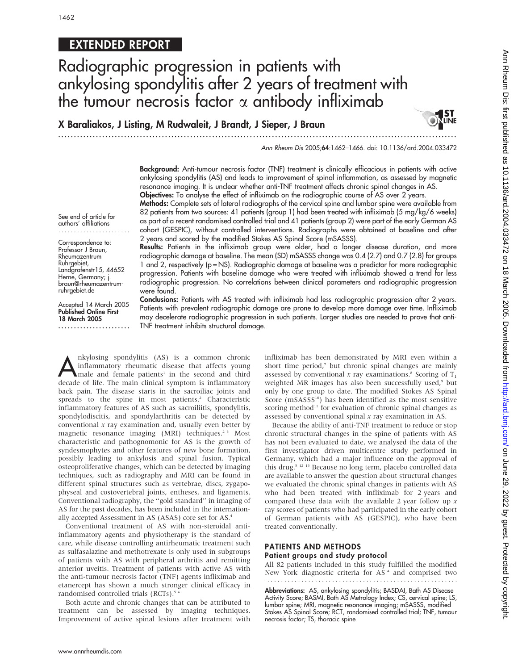# EXTENDED REPORT

# Radiographic progression in patients with ankylosing spondylitis after 2 years of treatment with the tumour necrosis factor  $\alpha$  antibody infliximab

X Baraliakos, J Listing, M Rudwaleit, J Brandt, J Sieper, J Braun

...............................................................................................................................

Ann Rheum Dis 2005;64:1462–1466. doi: 10.1136/ard.2004.033472

**UNE** 

Background: Anti-tumour necrosis factor (TNF) treatment is clinically efficacious in patients with active ankylosing spondylitis (AS) and leads to improvement of spinal inflammation, as assessed by magnetic resonance imaging. It is unclear whether anti-TNF treatment affects chronic spinal changes in AS. Objectives: To analyse the effect of infliximab on the radiographic course of AS over 2 years.

Methods: Complete sets of lateral radiographs of the cervical spine and lumbar spine were available from 82 patients from two sources: 41 patients (group 1) had been treated with infliximab (5 mg/kg/6 weeks) as part of a recent randomised controlled trial and 41 patients (group 2) were part of the early German AS cohort (GESPIC), without controlled interventions. Radiographs were obtained at baseline and after 2 years and scored by the modified Stokes AS Spinal Score (mSASSS).

See end of article for authors' affiliations .......................

Correspondence to: Professor J Braun, Rheumazentrum Ruhrgebiet, Landgrafenstr15, 44652 Herne, Germany; j. braun@rheumazentrumruhrgebiet.de

Accepted 14 March 2005 Published Online First 18 March 2005

.......................

Results: Patients in the infliximab group were older, had a longer disease duration, and more radiographic damage at baseline. The mean (SD) mSASSS change was 0.4 (2.7) and 0.7 (2.8) for groups 1 and 2, respectively (p = NS). Radiographic damage at baseline was a predictor for more radiographic progression. Patients with baseline damage who were treated with infliximab showed a trend for less radiographic progression. No correlations between clinical parameters and radiographic progression were found.

Conclusions: Patients with AS treated with infliximab had less radiographic progression after 2 years. Patients with prevalent radiographic damage are prone to develop more damage over time. Infliximab may decelerate radiographic progression in such patients. Larger studies are needed to prove that anti-TNF treatment inhibits structural damage.

mkylosing spondylitis (AS) is a common chronic<br>
male and female patients<sup>1</sup> in the second and third<br>
decade of life The main clinical symptom is inflammatory inflammatory rheumatic disease that affects young decade of life. The main clinical symptom is inflammatory back pain. The disease starts in the sacroiliac joints and spreads to the spine in most patients.<sup>2</sup> Characteristic inflammatory features of AS such as sacroiliitis, spondylitis, spondylodiscitis, and spondylarthritis can be detected by conventional  $x$  ray examination and, usually even better by magnetic resonance imaging (MRI) techniques.<sup>23</sup> Most characteristic and pathognomonic for AS is the growth of syndesmophytes and other features of new bone formation, possibly leading to ankylosis and spinal fusion. Typical osteoproliferative changes, which can be detected by imaging techniques, such as radiography and MRI can be found in different spinal structures such as vertebrae, discs, zygapophyseal and costovertebral joints, entheses, and ligaments. Conventional radiography, the ''gold standard'' in imaging of AS for the past decades, has been included in the internationally accepted Assessment in AS (ASAS) core set for AS.4

Conventional treatment of AS with non-steroidal antiinflammatory agents and physiotherapy is the standard of care, while disease controlling antirheumatic treatment such as sulfasalazine and methotrexate is only used in subgroups of patients with AS with peripheral arthritis and remitting anterior uveitis. Treatment of patients with active AS with the anti-tumour necrosis factor (TNF) agents infliximab and etanercept has shown a much stronger clinical efficacy in randomised controlled trials (RCTs).<sup>5</sup>

Both acute and chronic changes that can be attributed to treatment can be assessed by imaging techniques. Improvement of active spinal lesions after treatment with infliximab has been demonstrated by MRI even within a short time period,<sup>7</sup> but chronic spinal changes are mainly assessed by conventional x ray examinations.<sup>8</sup> Scoring of  $T_1$ weighted MR images has also been successfully used,<sup>9</sup> but only by one group to date. The modified Stokes AS Spinal Score (mSASSS<sup>10</sup>) has been identified as the most sensitive scoring method<sup>11</sup> for evaluation of chronic spinal changes as assessed by conventional spinal x ray examination in AS.

Because the ability of anti-TNF treatment to reduce or stop chronic structural changes in the spine of patients with AS has not been evaluated to date, we analysed the data of the first investigator driven multicentre study performed in Germany, which had a major influence on the approval of this drug.<sup>5 12 13</sup> Because no long term, placebo controlled data are available to answer the question about structural changes we evaluated the chronic spinal changes in patients with AS who had been treated with infliximab for 2 years and compared these data with the available 2 year follow up  $x$ ray scores of patients who had participated in the early cohort of German patients with AS (GESPIC), who have been treated conventionally.

#### PATIENTS AND METHODS Patient groups and study protocol

All 82 patients included in this study fulfilled the modified New York diagnostic criteria for AS<sup>14</sup> and comprised two

Abbreviations: AS, ankylosing spondylitis; BASDAI, Bath AS Disease Activity Score; BASMI, Bath AS Metrology Index; CS, cervical spine; LS, lumbar spine; MRI, magnetic resonance imaging; mSASSS, modified Stokes AS Spinal Score; RCT, randomised controlled trial; TNF, tumour necrosis factor; TS, thoracic spine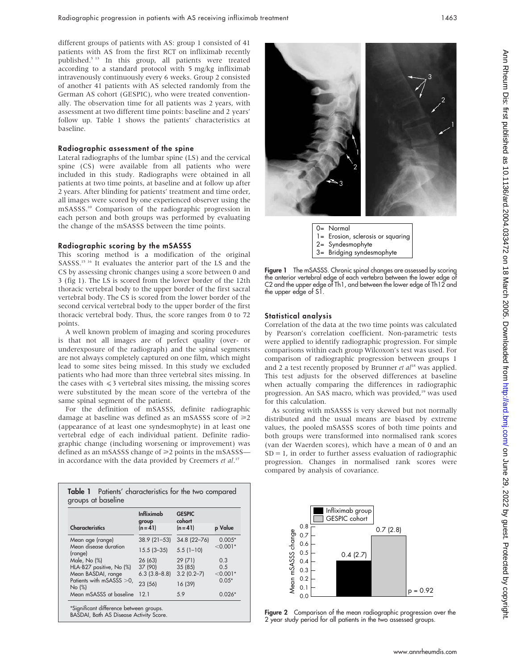different groups of patients with AS: group 1 consisted of 41 patients with AS from the first RCT on infliximab recently published.5 13 In this group, all patients were treated according to a standard protocol with 5 mg/kg infliximab intravenously continuously every 6 weeks. Group 2 consisted of another 41 patients with AS selected randomly from the German AS cohort (GESPIC), who were treated conventionally. The observation time for all patients was 2 years, with assessment at two different time points: baseline and 2 years' follow up. Table 1 shows the patients' characteristics at baseline.

#### Radiographic assessment of the spine

Lateral radiographs of the lumbar spine (LS) and the cervical spine (CS) were available from all patients who were included in this study. Radiographs were obtained in all patients at two time points, at baseline and at follow up after 2 years. After blinding for patients' treatment and time order, all images were scored by one experienced observer using the mSASSS.10 Comparison of the radiographic progression in each person and both groups was performed by evaluating the change of the mSASSS between the time points.

## Radiographic scoring by the mSASSS

This scoring method is a modification of the original SASSS.<sup>15 16</sup> It evaluates the anterior part of the LS and the CS by assessing chronic changes using a score between 0 and 3 (fig 1). The LS is scored from the lower border of the 12th thoracic vertebral body to the upper border of the first sacral vertebral body. The CS is scored from the lower border of the second cervical vertebral body to the upper border of the first thoracic vertebral body. Thus, the score ranges from 0 to 72 points.

A well known problem of imaging and scoring procedures is that not all images are of perfect quality (over- or underexposure of the radiograph) and the spinal segments are not always completely captured on one film, which might lead to some sites being missed. In this study we excluded patients who had more than three vertebral sites missing. In the cases with  $\leq 3$  vertebral sites missing, the missing scores were substituted by the mean score of the vertebra of the same spinal segment of the patient.

For the definition of mSASSS, definite radiographic damage at baseline was defined as an mSASSS score of  $\geq 2$ (appearance of at least one syndesmophyte) in at least one vertebral edge of each individual patient. Definite radiographic change (including worsening or improvement) was defined as an mSASSS change of  $\geq$  points in the mSASSS in accordance with the data provided by Creemers et al.<sup>17</sup>

| <b>Characteristics</b>                               | <b>Infliximab</b><br>group<br>$(n = 41)$ | <b>GESPIC</b><br>cohort<br>$(n = 41)$ | p Value                |
|------------------------------------------------------|------------------------------------------|---------------------------------------|------------------------|
|                                                      |                                          |                                       |                        |
| Mean age (range)<br>Mean disease duration<br>(range) | $38.9(21-53)$                            | 34.8 (22-76)                          | $0.005*$<br>$< 0.001*$ |
|                                                      | $15.5(3 - 35)$                           | $5.5(1-10)$                           |                        |
| Male, No (%)                                         | 26(63)                                   | 29(71)                                | 0.3                    |
| HLA-B27 positive, No (%)                             | 37 (90)                                  | 35 (85)                               | 0.5                    |
| Mean BASDAI, range                                   | $6.3$ $(3.8-8.8)$                        | $3.2(0.2 - 7)$                        | $< 0.001*$<br>$0.05*$  |
| Patients with mSASSS > 0,<br>No (%)                  | 23 (56)                                  | 16 (39)                               |                        |
| Mean mSASSS at baseline                              | 12.1                                     | 5.9                                   | $0.026*$               |

BASDAI, Bath AS Disease Activity Score.





Figure 1 The mSASSS. Chronic spinal changes are assessed by scoring the anterior vertebral edge of each vertebra between the lower edge of C2 and the upper edge of Th1, and between the lower edge of Th12 and the upper edge of S1.

#### Statistical analysis

Correlation of the data at the two time points was calculated by Pearson's correlation coefficient. Non-parametric tests were applied to identify radiographic progression. For simple comparisons within each group Wilcoxon's test was used. For comparison of radiographic progression between groups 1 and 2 a test recently proposed by Brunner et  $al^{18}$  was applied. This test adjusts for the observed differences at baseline when actually comparing the differences in radiographic progression. An SAS macro, which was provided,<sup>19</sup> was used for this calculation.

As scoring with mSASSS is very skewed but not normally distributed and the usual means are biased by extreme values, the pooled mSASSS scores of both time points and both groups were transformed into normalised rank scores (van der Waerden scores), which have a mean of 0 and an  $SD = 1$ , in order to further assess evaluation of radiographic progression. Changes in normalised rank scores were compared by analysis of covariance.



Figure 2 Comparison of the mean radiographic progression over the 2 year study period for all patients in the two assessed groups.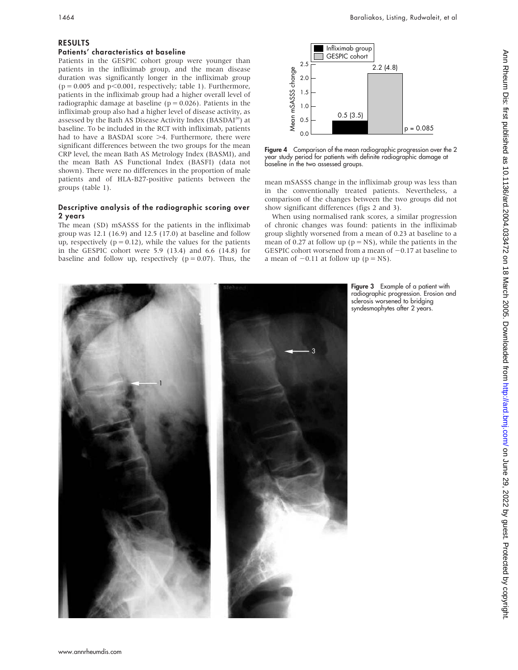# RESULTS

# Patients' characteristics at baseline

Patients in the GESPIC cohort group were younger than patients in the infliximab group, and the mean disease duration was significantly longer in the infliximab group  $(p = 0.005$  and  $p < 0.001$ , respectively; table 1). Furthermore, patients in the infliximab group had a higher overall level of radiographic damage at baseline ( $p = 0.026$ ). Patients in the infliximab group also had a higher level of disease activity, as assessed by the Bath AS Disease Activity Index (BASDAI<sup>20</sup>) at baseline. To be included in the RCT with infliximab, patients had to have a BASDAI score  $>4$ . Furthermore, there were significant differences between the two groups for the mean CRP level, the mean Bath AS Metrology Index (BASMI), and the mean Bath AS Functional Index (BASFI) (data not shown). There were no differences in the proportion of male patients and of HLA-B27-positive patients between the groups (table 1).

# Descriptive analysis of the radiographic scoring over 2 years

The mean (SD) mSASSS for the patients in the infliximab group was 12.1 (16.9) and 12.5 (17.0) at baseline and follow up, respectively ( $p = 0.12$ ), while the values for the patients in the GESPIC cohort were 5.9 (13.4) and 6.6 (14.8) for baseline and follow up, respectively ( $p = 0.07$ ). Thus, the



Figure 4 Comparison of the mean radiographic progression over the 2 year study period for patients with definite radiographic damage at baseline in the two assessed groups.

mean mSASSS change in the infliximab group was less than in the conventionally treated patients. Nevertheless, a comparison of the changes between the two groups did not show significant differences (figs 2 and 3).

When using normalised rank scores, a similar progression of chronic changes was found: patients in the infliximab group slightly worsened from a mean of 0.23 at baseline to a mean of 0.27 at follow up ( $p = NS$ ), while the patients in the GESPIC cohort worsened from a mean of  $-0.17$  at baseline to a mean of  $-0.11$  at follow up (p = NS).



Figure 3 Example of a patient with radiographic progression. Erosion and sclerosis worsened to bridging syndesmophytes after 2 years.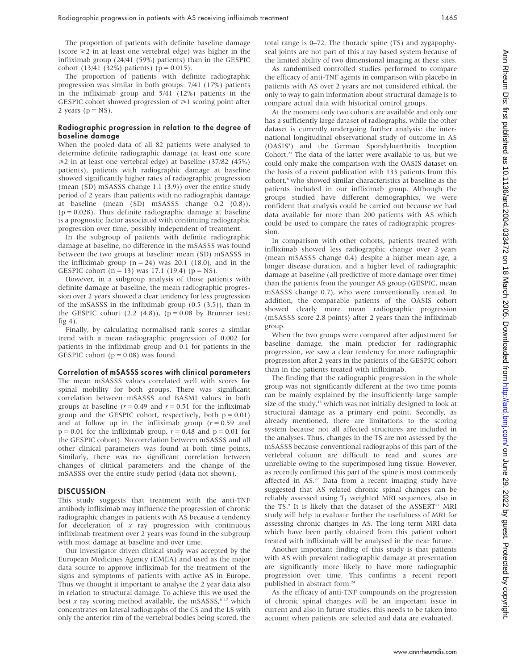The proportion of patients with definite baseline damage (score  $\geq 2$  in at least one vertebral edge) was higher in the infliximab group (24/41 (59%) patients) than in the GESPIC cohort (13/41 (32%) patients) ( $p = 0.015$ ).

The proportion of patients with definite radiographic progression was similar in both groups: 7/41 (17%) patients in the infliximab group and 5/41 (12%) patients in the GESPIC cohort showed progression of  $\geq 1$  scoring point after 2 years ( $p = NS$ ).

#### Radiographic progression in relation to the degree of baseline damage

When the pooled data of all 82 patients were analysed to determine definite radiographic damage (at least one score  $\geq$  2 in at least one vertebral edge) at baseline (37/82 (45%) patients), patients with radiographic damage at baseline showed significantly higher rates of radiographic progression (mean (SD) mSASSS change 1.1 (3.9)) over the entire study period of 2 years than patients with no radiographic damage at baseline (mean (SD) mSASSS change 0.2 (0.8)),  $(p = 0.028)$ . Thus definite radiographic damage at baseline is a prognostic factor associated with continuing radiographic progression over time, possibly independent of treatment.

In the subgroup of patients with definite radiographic damage at baseline, no difference in the mSASSS was found between the two groups at baseline: mean (SD) mSASSS in the infliximab group  $(n = 24)$  was 20.1 (18.0), and in the GESPIC cohort  $(n = 13)$  was 17.1 (19.4)  $(p = NS)$ .

However, in a subgroup analysis of those patients with definite damage at baseline, the mean radiographic progression over 2 years showed a clear tendency for less progression of the mSASSS in the infliximab group (0.5 (3.5)), than in the GESPIC cohort  $(2.2 \text{ } (4.8))$ ,  $(p = 0.08 \text{ by Brunner test})$ ; fig 4).

Finally, by calculating normalised rank scores a similar trend with a mean radiographic progression of 0.002 for patients in the infliximab group and 0.1 for patients in the GESPIC cohort ( $p = 0.08$ ) was found.

#### Correlation of mSASSS scores with clinical parameters

The mean mSASSS values correlated well with scores for spinal mobility for both groups. There was significant correlation between mSASSS and BASMI values in both groups at baseline ( $r = 0.49$  and  $r = 0.51$  for the infliximab group and the GESPIC cohort, respectively, both  $p = 0.01$ ) and at follow up in the infliximab group  $(r = 0.59$  and  $p = 0.01$  for the infliximab group,  $r = 0.48$  and  $p = 0.01$  for the GESPIC cohort). No correlation between mSASSS and all other clinical parameters was found at both time points. Similarly, there was no significant correlation between changes of clinical parameters and the change of the mSASSS over the entire study period (data not shown).

#### **DISCUSSION**

This study suggests that treatment with the anti-TNF antibody infliximab may influence the progression of chronic radiographic changes in patients with AS because a tendency for deceleration of  $x$  ray progression with continuous infliximab treatment over 2 years was found in the subgroup with most damage at baseline and over time.

Our investigator driven clinical study was accepted by the European Medicines Agency (EMEA) and used as the major data source to approve infliximab for the treatment of the signs and symptoms of patients with active AS in Europe. Thus we thought it important to analyse the 2 year data also in relation to structural damage. To achieve this we used the best x ray scoring method available, the mSASSS,<sup>8 17</sup> which concentrates on lateral radiographs of the CS and the LS with only the anterior rim of the vertebral bodies being scored, the total range is 0–72. The thoracic spine (TS) and zygapophyseal joints are not part of this  $x$  ray based system because of the limited ability of two dimensional imaging at these sites.

As randomised controlled studies performed to compare the efficacy of anti-TNF agents in comparison with placebo in patients with AS over 2 years are not considered ethical, the only to way to gain information about structural damage is to compare actual data with historical control groups.

At the moment only two cohorts are available and only one has a sufficiently large dataset of radiographs, while the other dataset is currently undergoing further analysis: the international longitudinal observational study of outcome in AS (OASIS8 ) and the German Spondyloarthritis Inception Cohort.<sup>21</sup> The data of the latter were available to us, but we could only make the comparison with the OASIS dataset on the basis of a recent publication with 133 patients from this cohort,<sup>8</sup> who showed similar characteristics at baseline as the patients included in our infliximab group. Although the groups studied have different demographics, we were confident that analysis could be carried out because we had data available for more than 200 patients with AS which could be used to compare the rates of radiographic progression.

In comparison with other cohorts, patients treated with infliximab showed less radiographic change over 2 years (mean mSASSS change 0.4) despite a higher mean age, a longer disease duration, and a higher level of radiographic damage at baseline (all predictive of more damage over time) than the patients from the younger AS group (GESPIC, mean mSASSS change 0.7), who were conventionally treated. In addition, the comparable patients of the OASIS cohort showed clearly more mean radiographic progression (mSASSS score 2.8 points) after 2 years than the infliximab group.

When the two groups were compared after adjustment for baseline damage, the main predictor for radiographic progression, we saw a clear tendency for more radiographic progression after 2 years in the patients of the GESPIC cohort than in the patients treated with infliximab.

The finding that the radiographic progression in the whole group was not significantly different at the two time points can be mainly explained by the insufficiently large sample size of the study, $13$  which was not initially designed to look at structural damage as a primary end point. Secondly, as already mentioned, there are limitations to the scoring system because not all affected structures are included in the analyses. Thus, changes in the TS are not assessed by the mSASSS because conventional radiographs of this part of the vertebral column are difficult to read and scores are unreliable owing to the superimposed lung tissue. However, as recently confirmed this part of the spine is most commonly affected in AS.<sup>22</sup> Data from a recent imaging study have suggested that AS related chronic spinal changes can be reliably assessed using  $T_1$  weighted MRI sequences, also in the TS.<sup>9</sup> It is likely that the dataset of the ASSERT<sup>23</sup> MRI study will help to evaluate further the usefulness of MRI for assessing chronic changes in AS. The long term MRI data which have been partly obtained from this patient cohort treated with infliximab will be analysed in the near future.

Another important finding of this study is that patients with AS with prevalent radiographic damage at presentation are significantly more likely to have more radiographic progression over time. This confirms a recent report published in abstract form.24

As the efficacy of anti-TNF compounds on the progression of chronic spinal changes will be an important issue in current and also in future studies, this needs to be taken into account when patients are selected and data are evaluated.